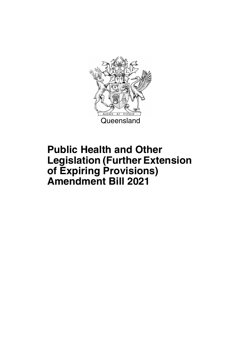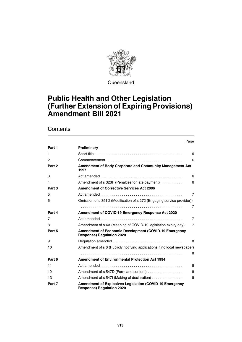

Queensland

## **Public Health and Other Legislation (Further Extension of Expiring Provisions) Amendment Bill 2021**

|                |                                                                                                    | Page           |
|----------------|----------------------------------------------------------------------------------------------------|----------------|
| Part 1         | Preliminary                                                                                        |                |
| 1              |                                                                                                    | 6              |
| $\overline{c}$ |                                                                                                    | 6              |
| Part 2         | Amendment of Body Corporate and Community Management Act<br>1997                                   |                |
| 3              |                                                                                                    | 6              |
| 4              | Amendment of s 323F (Penalties for late payment)                                                   | 6              |
| Part 3         | <b>Amendment of Corrective Services Act 2006</b>                                                   |                |
| 5              |                                                                                                    | $\overline{7}$ |
| 6              | Omission of s 351D (Modification of s 272 (Engaging service provider))                             |                |
|                |                                                                                                    | $\overline{7}$ |
| Part 4         | Amendment of COVID-19 Emergency Response Act 2020                                                  |                |
| 7              |                                                                                                    | $\overline{7}$ |
| 8              | Amendment of s 4A (Meaning of COVID-19 legislation expiry day)                                     | $\overline{7}$ |
| Part 5         | <b>Amendment of Economic Development (COVID-19 Emergency</b><br><b>Response) Regulation 2020</b>   |                |
| 9              |                                                                                                    | 8              |
| 10             | Amendment of s 6 (Publicly notifying applications if no local newspaper)                           |                |
|                |                                                                                                    | 8              |
| Part 6         | <b>Amendment of Environmental Protection Act 1994</b>                                              |                |
| 11             |                                                                                                    | 8              |
| 12             | Amendment of s 547D (Form and content)                                                             | 8              |
| 13             | Amendment of s 547I (Making of declaration)                                                        | 8              |
| Part 7         | <b>Amendment of Explosives Legislation (COVID-19 Emergency</b><br><b>Response) Regulation 2020</b> |                |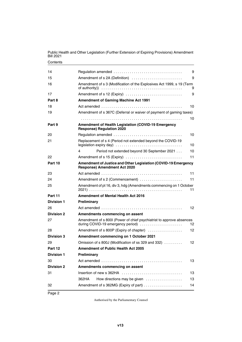| 14                |                                                                                                                                                                       | 9               |  |  |
|-------------------|-----------------------------------------------------------------------------------------------------------------------------------------------------------------------|-----------------|--|--|
| 15                | Amendment of s 2A (Definition)<br>9                                                                                                                                   |                 |  |  |
| 16                | Amendment of s 3 (Modification of the Explosives Act 1999, s 19 (Term<br>of authority) $\ldots \ldots \ldots \ldots \ldots \ldots \ldots \ldots \ldots \ldots \ldots$ | 9               |  |  |
| 17                | Amendment of s 12 (Expiry)                                                                                                                                            | 9               |  |  |
| Part 8            | <b>Amendment of Gaming Machine Act 1991</b>                                                                                                                           |                 |  |  |
| 18                |                                                                                                                                                                       | 10              |  |  |
| 19                | Amendment of s 367C (Deferral or waiver of payment of gaming taxes)                                                                                                   |                 |  |  |
|                   |                                                                                                                                                                       | 10              |  |  |
| Part 9            | Amendment of Health Legislation (COVID-19 Emergency<br><b>Response) Regulation 2020</b>                                                                               |                 |  |  |
| 20                |                                                                                                                                                                       | 10              |  |  |
| 21                | Replacement of s 4 (Period not extended beyond the COVID-19                                                                                                           | 10              |  |  |
|                   | Period not extended beyond 30 September 2021<br>4                                                                                                                     | 10              |  |  |
| 22                | Amendment of s 15 (Expiry)                                                                                                                                            | 11              |  |  |
| Part 10           | Amendment of Justice and Other Legislation (COVID-19 Emergency<br><b>Response) Amendment Act 2020</b>                                                                 |                 |  |  |
| 23                |                                                                                                                                                                       | 11              |  |  |
| 24                | Amendment of s 2 (Commencement)                                                                                                                                       | 11              |  |  |
| 25                | Amendment of pt 16, div 3, hdg (Amendments commencing on 1 October                                                                                                    | 11              |  |  |
| Part 11           | <b>Amendment of Mental Health Act 2016</b>                                                                                                                            |                 |  |  |
| <b>Division 1</b> | Preliminary                                                                                                                                                           |                 |  |  |
| 26                |                                                                                                                                                                       | 12 <sup>2</sup> |  |  |
| <b>Division 2</b> | Amendments commencing on assent                                                                                                                                       |                 |  |  |
| 27                | Amendment of s 800I (Power of chief psychiatrist to approve absences<br>during COVID-19 emergency period)                                                             | 12              |  |  |
| 28                | Amendment of s 800P (Expiry of chapter)                                                                                                                               | 12              |  |  |
| Division 3        | Amendment commencing on 1 October 2021                                                                                                                                |                 |  |  |
| 29                | Omission of s 800J (Modification of ss 329 and 332)                                                                                                                   | 12              |  |  |
| Part 12           | Amendment of Public Health Act 2005                                                                                                                                   |                 |  |  |
| <b>Division 1</b> | Preliminary                                                                                                                                                           |                 |  |  |
| 30                |                                                                                                                                                                       | 13              |  |  |
| <b>Division 2</b> | Amendments commencing on assent                                                                                                                                       |                 |  |  |
| 31                | Insertion of new s 362HA                                                                                                                                              | 13              |  |  |
|                   | How directions may be given<br>362HA                                                                                                                                  | 13              |  |  |
| 32                | Amendment of s 362MG (Expiry of part)                                                                                                                                 | 14              |  |  |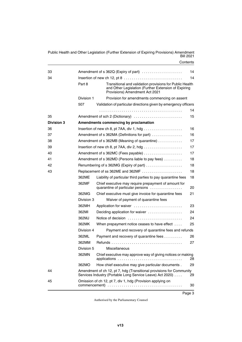| 33         |                                         | Amendment of s 362Q (Expiry of part)                                                                                                               | 14 |
|------------|-----------------------------------------|----------------------------------------------------------------------------------------------------------------------------------------------------|----|
| 34         |                                         | Insertion of new ch 12, pt $8 \ldots \ldots \ldots \ldots \ldots \ldots \ldots \ldots$                                                             | 14 |
|            | Part 8                                  | Transitional and validation provisions for Public Health<br>and Other Legislation (Further Extension of Expiring<br>Provisions) Amendment Act 2021 |    |
|            | Division 1                              | Provision for amendments commencing on assent                                                                                                      |    |
|            | 507                                     | Validation of particular directions given by emergency officers                                                                                    |    |
|            |                                         |                                                                                                                                                    | 14 |
| 35         |                                         | Amendment of sch 2 (Dictionary)                                                                                                                    | 15 |
| Division 3 |                                         | Amendments commencing by proclamation                                                                                                              |    |
| 36         |                                         |                                                                                                                                                    | 16 |
| 37         |                                         | Amendment of s 362MA (Definitions for part)                                                                                                        | 16 |
| 38         |                                         | Amendment of s 362MB (Meaning of quarantine)                                                                                                       | 17 |
| 39         |                                         |                                                                                                                                                    | 17 |
| 40         |                                         |                                                                                                                                                    | 17 |
| 41         |                                         | Amendment of s 362MD (Persons liable to pay fees)                                                                                                  | 18 |
| 42         |                                         | Renumbering of s 362MG (Expiry of part)                                                                                                            | 18 |
| 43         | 18<br>Replacement of ss 362ME and 362MF |                                                                                                                                                    |    |
|            | 362ME                                   | Liability of particular third parties to pay quarantine fees                                                                                       | 18 |
|            | 362MF                                   | Chief executive may require prepayment of amount for<br>quarantine of particular persons                                                           | 20 |
|            | 362MG                                   | Chief executive must give invoice for quarantine fees                                                                                              | 21 |
|            | Division 3                              | Waiver of payment of quarantine fees                                                                                                               |    |
|            | 362MH                                   | Application for waiver                                                                                                                             | 23 |
|            | 362MI                                   | Deciding application for waiver                                                                                                                    | 24 |
|            | 362MJ                                   | Notice of decision                                                                                                                                 | 24 |
|            | 362MK                                   | When prepayment notice ceases to have effect                                                                                                       | 25 |
|            | Division 4                              | Payment and recovery of quarantine fees and refunds                                                                                                |    |
|            | 362ML                                   | Payment and recovery of quarantine fees                                                                                                            | 26 |
|            | 362MM                                   |                                                                                                                                                    | 27 |
|            | Division 5                              | Miscellaneous                                                                                                                                      |    |
|            | 362MN                                   | Chief executive may approve way of giving notices or making                                                                                        | 28 |
|            | 362MO                                   | How chief executive may give particular documents.                                                                                                 | 29 |
| 44         |                                         | Amendment of ch 12, pt 7, hdg (Transitional provisions for Community<br>Services Industry (Portable Long Service Leave) Act 2020)                  | 29 |
| 45         |                                         | Omission of ch 12, pt 7, div 1, hdg (Provision applying on                                                                                         | 30 |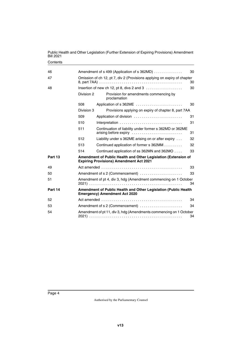| 46      |            | Amendment of s 499 (Application of s 362MD)<br>30                                                                |    |  |  |
|---------|------------|------------------------------------------------------------------------------------------------------------------|----|--|--|
| 47      |            | Omission of ch 12, pt 7, div 2 (Provisions applying on expiry of chapter<br>30                                   |    |  |  |
| 48      |            | Insertion of new ch 12, pt 8, divs 2 and 3 $\ldots$                                                              | 30 |  |  |
|         | Division 2 | Provision for amendments commencing by<br>proclamation                                                           |    |  |  |
|         | 508        | Application of s 362ME                                                                                           | 30 |  |  |
|         | Division 3 | Provisions applying on expiry of chapter 8, part 7AA                                                             |    |  |  |
|         | 509        | Application of division                                                                                          | 31 |  |  |
|         | 510        | Interpretation                                                                                                   | 31 |  |  |
|         | 511        | Continuation of liability under former s 362MD or 362ME<br>arising before expiry                                 | 31 |  |  |
|         | 512        | Liability under s 362ME arising on or after expiry                                                               | 32 |  |  |
|         | 513        | Continued application of former s 362MM                                                                          | 32 |  |  |
|         | 514        | Continued application of ss 362MN and 362MO                                                                      | 33 |  |  |
| Part 13 |            | Amendment of Public Health and Other Legislation (Extension of<br><b>Expiring Provisions) Amendment Act 2021</b> |    |  |  |
| 49      |            |                                                                                                                  | 33 |  |  |
| 50      |            | Amendment of s 2 (Commencement)                                                                                  | 33 |  |  |
| 51      |            | Amendment of pt 4, div 3, hdg (Amendment commencing on 1 October                                                 | 34 |  |  |
| Part 14 |            | Amendment of Public Health and Other Legislation (Public Health<br><b>Emergency) Amendment Act 2020</b>          |    |  |  |
| 52      |            |                                                                                                                  | 34 |  |  |
| 53      |            | Amendment of s 2 (Commencement)                                                                                  | 34 |  |  |
| 54      |            | Amendment of pt 11, div 3, hdg (Amendments commencing on 1 October                                               | 34 |  |  |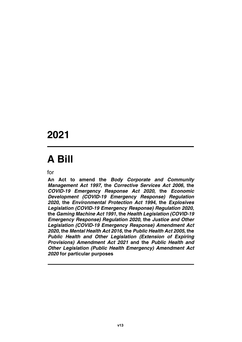## **2021**

# **A Bill**

for

**An Act to amend the** *Body Corporate and Community Management Act 1997***, the** *Corrective Services Act 2006***, the** *COVID-19 Emergency Response Act 2020***, the** *Economic Development (COVID-19 Emergency Response) Regulation 2020***, the** *Environmental Protection Act 1994***, the** *Explosives Legislation (COVID-19 Emergency Response) Regulation 2020***, the** *Gaming Machine Act 1991***, the** *Health Legislation (COVID-19 Emergency Response) Regulation 2020***, the** *Justice and Other Legislation (COVID-19 Emergency Response) Amendment Act 2020***, the** *Mental Health Act 2016***, the** *Public Health Act 2005***, the** *Public Health and Other Legislation (Extension of Expiring Provisions) Amendment Act 2021* **and the** *Public Health and Other Legislation (Public Health Emergency) Amendment Act 2020* **for particular purposes**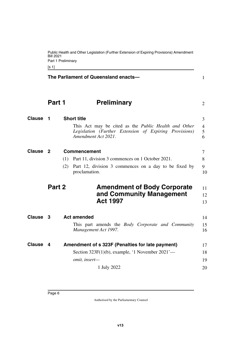<span id="page-7-11"></span><span id="page-7-10"></span><span id="page-7-9"></span><span id="page-7-8"></span><span id="page-7-7"></span><span id="page-7-6"></span><span id="page-7-5"></span><span id="page-7-4"></span><span id="page-7-3"></span><span id="page-7-2"></span><span id="page-7-1"></span><span id="page-7-0"></span>

|                 | Bill 2021<br>[s 1] | Public Health and Other Legislation (Further Extension of Expiring Provisions) Amendment<br>Part 1 Preliminary                               |                |
|-----------------|--------------------|----------------------------------------------------------------------------------------------------------------------------------------------|----------------|
|                 |                    | The Parliament of Queensland enacts-                                                                                                         | 1              |
|                 | Part 1             | <b>Preliminary</b>                                                                                                                           | 2              |
| <b>Clause</b>   | $\mathbf 1$        | <b>Short title</b>                                                                                                                           | 3              |
|                 |                    | This Act may be cited as the <i>Public Health and Other</i><br>Legislation (Further Extension of Expiring Provisions)<br>Amendment Act 2021. | 4<br>5<br>6    |
| <b>Clause</b> 2 |                    | <b>Commencement</b>                                                                                                                          | 7              |
|                 |                    | Part 11, division 3 commences on 1 October 2021.<br>(1)                                                                                      | 8              |
|                 |                    | (2)<br>Part 12, division 3 commences on a day to be fixed by<br>proclamation.                                                                | 9<br>10        |
|                 | Part 2             | <b>Amendment of Body Corporate</b><br>and Community Management<br><b>Act 1997</b>                                                            | 11<br>12<br>13 |
| Clause 3        |                    | <b>Act amended</b>                                                                                                                           | 14             |
|                 |                    | This part amends the <i>Body Corporate and Community</i><br>Management Act 1997.                                                             | 15<br>16       |
| Clause 4        |                    | Amendment of s 323F (Penalties for late payment)                                                                                             | 17             |
|                 |                    | Section $323F(1)(b)$ , example, '1 November $2021'$ —                                                                                        | 18             |
|                 |                    | omit, insert-                                                                                                                                | 19             |
|                 |                    | 1 July 2022                                                                                                                                  | 20             |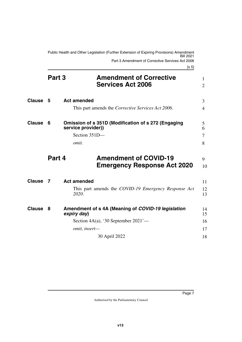<span id="page-8-1"></span><span id="page-8-0"></span>Public Health and Other Legislation (Further Extension of Expiring Provisions) Amendment Bill 2021 Part 3 Amendment of Corrective Services Act 2006

 $[s, 5]$ 

<span id="page-8-11"></span><span id="page-8-10"></span><span id="page-8-9"></span><span id="page-8-8"></span><span id="page-8-7"></span><span id="page-8-6"></span><span id="page-8-5"></span><span id="page-8-4"></span><span id="page-8-3"></span><span id="page-8-2"></span>

|               |        | נט ט                                                                                                                      |                                |
|---------------|--------|---------------------------------------------------------------------------------------------------------------------------|--------------------------------|
|               | Part 3 | <b>Amendment of Corrective</b><br><b>Services Act 2006</b>                                                                | $\mathbf{1}$<br>$\overline{2}$ |
| <b>Clause</b> | - 5    | <b>Act amended</b><br>This part amends the <i>Corrective Services Act 2006</i> .                                          | 3<br>4                         |
| <b>Clause</b> | 6      | <b>Omission of s 351D (Modification of s 272 (Engaging</b><br>service provider))<br>Section 351D-<br>omit.                | 5<br>6<br>7<br>8               |
|               | Part 4 | <b>Amendment of COVID-19</b><br><b>Emergency Response Act 2020</b>                                                        | 9<br>10                        |
| <b>Clause</b> | 7      | <b>Act amended</b><br>This part amends the COVID-19 Emergency Response Act<br>2020.                                       | 11<br>12<br>13                 |
| <b>Clause</b> | 8      | Amendment of s 4A (Meaning of COVID-19 legislation<br>expiry day)<br>Section 4A(a), '30 September 2021'—<br>omit, insert- | 14<br>15<br>16<br>17           |
|               |        | 30 April 2022                                                                                                             | 18                             |
|               |        |                                                                                                                           |                                |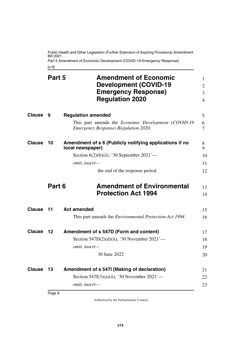Public Health and Other Legislation (Further Extension of Expiring Provisions) Amendment Bill 2021 Part 5 Amendment of Economic Development (COVID-19 Emergency Response)

<span id="page-9-7"></span><span id="page-9-5"></span><span id="page-9-3"></span><span id="page-9-1"></span><span id="page-9-0"></span>[s 9]

<span id="page-9-13"></span><span id="page-9-12"></span><span id="page-9-11"></span><span id="page-9-10"></span><span id="page-9-9"></span><span id="page-9-8"></span><span id="page-9-6"></span><span id="page-9-4"></span><span id="page-9-2"></span>

|               | Part 5 | <b>Amendment of Economic</b><br><b>Development (COVID-19</b><br><b>Emergency Response)</b><br><b>Regulation 2020</b> | $\mathbf{1}$<br>$\overline{2}$<br>3<br>4 |
|---------------|--------|----------------------------------------------------------------------------------------------------------------------|------------------------------------------|
| <b>Clause</b> | - 9    | <b>Regulation amended</b>                                                                                            | 5                                        |
|               |        | This part amends the <i>Economic Development</i> (COVID-19)<br><b>Emergency Response) Regulation 2020.</b>           | 6<br>7                                   |
| <b>Clause</b> | 10     | Amendment of s 6 (Publicly notifying applications if no<br>local newspaper)                                          | 8<br>9                                   |
|               |        | Section $6(2)(b)(ii)$ , '30 September 2021'—                                                                         | 10                                       |
|               |        | omit, insert-                                                                                                        | 11                                       |
|               |        | the end of the response period                                                                                       | 12                                       |
|               | Part 6 | <b>Amendment of Environmental</b><br><b>Protection Act 1994</b>                                                      | 13<br>14                                 |
| <b>Clause</b> | 11     | <b>Act amended</b>                                                                                                   | 15                                       |
|               |        | This part amends the <i>Environmental Protection Act 1994</i> .                                                      | 16                                       |
| Clause        | 12     | Amendment of s 547D (Form and content)                                                                               | 17                                       |
|               |        | Section $547D(2)(d)(ii)$ , '30 November $2021'$ —                                                                    | 18                                       |
|               |        | omit, insert-                                                                                                        | 19                                       |
|               |        | 30 June 2022                                                                                                         | 20                                       |
| <b>Clause</b> | 13     | Amendment of s 547I (Making of declaration)                                                                          | 21                                       |
|               |        | Section 547I(3)(a)(ii), '30 November 2021'—                                                                          | 22                                       |
|               |        | omit, insert-                                                                                                        | 23                                       |
|               |        |                                                                                                                      |                                          |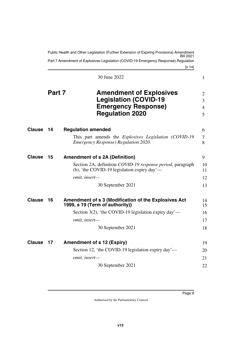<span id="page-10-9"></span><span id="page-10-8"></span><span id="page-10-7"></span><span id="page-10-6"></span><span id="page-10-5"></span><span id="page-10-4"></span><span id="page-10-3"></span><span id="page-10-2"></span><span id="page-10-1"></span><span id="page-10-0"></span>

|               |        | Public Health and Other Legislation (Further Extension of Expiring Provisions) Amendment                               |                  |
|---------------|--------|------------------------------------------------------------------------------------------------------------------------|------------------|
|               |        | Part 7 Amendment of Explosives Legislation (COVID-19 Emergency Response) Regulation<br>[s 14]                          |                  |
|               |        | 30 June 2022                                                                                                           | 1                |
|               | Part 7 | <b>Amendment of Explosives</b><br><b>Legislation (COVID-19</b><br><b>Emergency Response)</b><br><b>Regulation 2020</b> | 2<br>3<br>4<br>5 |
| Clause        | 14     | <b>Regulation amended</b>                                                                                              | 6                |
|               |        | This part amends the <i>Explosives Legislation (COVID-19</i><br><b>Emergency Response) Regulation 2020.</b>            | 7<br>8           |
| <b>Clause</b> | 15     | <b>Amendment of s 2A (Definition)</b>                                                                                  | 9                |
|               |        | Section 2A, definition COVID-19 response period, paragraph<br>(b), 'the COVID-19 legislation expiry day'—              | 10<br>11         |
|               |        | omit, insert-                                                                                                          | 12               |
|               |        | 30 September 2021                                                                                                      | 13               |
| <b>Clause</b> | 16     | Amendment of s 3 (Modification of the Explosives Act<br>1999, s 19 (Term of authority))                                | 14<br>15         |
|               |        | Section 3(2), 'the COVID-19 legislation expiry day'—                                                                   | 16               |
|               |        | omit, insert-                                                                                                          | 17               |
|               |        | 30 September 2021                                                                                                      | 18               |
| Clause 17     |        | <b>Amendment of s 12 (Expiry)</b>                                                                                      | 19               |
|               |        | Section 12, 'the COVID-19 legislation expiry day'—                                                                     | 20               |
|               |        | omit, insert-                                                                                                          | 21               |
|               |        | 30 September 2021                                                                                                      | 22               |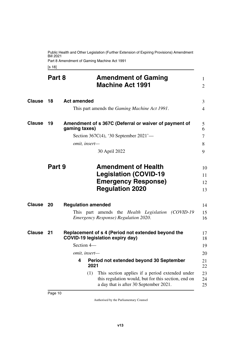Public Health and Other Legislation (Further Extension of Expiring Provisions) Amendment Bill 2021 Part 8 Amendment of Gaming Machine Act 1991

<span id="page-11-7"></span><span id="page-11-5"></span><span id="page-11-3"></span><span id="page-11-2"></span><span id="page-11-1"></span><span id="page-11-0"></span>[s 18]

<span id="page-11-13"></span><span id="page-11-12"></span><span id="page-11-11"></span><span id="page-11-10"></span><span id="page-11-9"></span><span id="page-11-8"></span><span id="page-11-6"></span><span id="page-11-4"></span>

|               | Part 8 |                                                                        | <b>Amendment of Gaming</b><br><b>Machine Act 1991</b>                                                                                                                                       | $\mathbf{1}$<br>$\overline{2}$ |
|---------------|--------|------------------------------------------------------------------------|---------------------------------------------------------------------------------------------------------------------------------------------------------------------------------------------|--------------------------------|
| <b>Clause</b> | 18     | <b>Act amended</b>                                                     | This part amends the <i>Gaming Machine Act 1991</i> .                                                                                                                                       | 3<br>4                         |
| Clause        | 19     | gaming taxes)<br>omit, insert-                                         | Amendment of s 367C (Deferral or waiver of payment of<br>Section 367C(4), '30 September $2021'$ —<br>30 April 2022                                                                          | 5<br>6<br>7<br>8<br>9          |
|               | Part 9 |                                                                        | <b>Amendment of Health</b><br><b>Legislation (COVID-19</b><br><b>Emergency Response)</b><br><b>Regulation 2020</b>                                                                          | 10<br>11<br>12<br>13           |
| Clause        | 20     | <b>Regulation amended</b>                                              | This part amends the Health Legislation (COVID-19<br><i>Emergency Response) Regulation 2020.</i>                                                                                            | 14<br>15<br>16                 |
| <b>Clause</b> | 21     | <b>COVID-19 legislation expiry day)</b><br>Section 4-<br>omit, insert- | Replacement of s 4 (Period not extended beyond the                                                                                                                                          | 17<br>18<br>19<br>20           |
|               |        | 4<br>2021<br>(1)                                                       | Period not extended beyond 30 September<br>This section applies if a period extended under<br>this regulation would, but for this section, end on<br>a day that is after 30 September 2021. | 21<br>22<br>23<br>24<br>25     |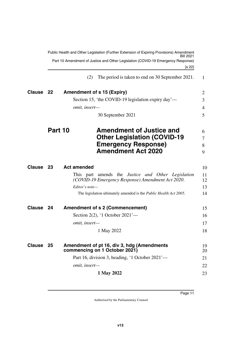<span id="page-12-9"></span><span id="page-12-8"></span><span id="page-12-7"></span><span id="page-12-6"></span><span id="page-12-5"></span><span id="page-12-4"></span><span id="page-12-3"></span><span id="page-12-2"></span><span id="page-12-1"></span><span id="page-12-0"></span>

| Public Health and Other Legislation (Further Extension of Expiring Provisions) Amendment |         |                                                                                                                |          |  |
|------------------------------------------------------------------------------------------|---------|----------------------------------------------------------------------------------------------------------------|----------|--|
|                                                                                          |         | Part 10 Amendment of Justice and Other Legislation (COVID-19 Emergency Response)<br>[s 22]                     |          |  |
|                                                                                          |         | The period is taken to end on 30 September 2021.<br>(2)                                                        | 1        |  |
| Clause 22                                                                                |         | <b>Amendment of s 15 (Expiry)</b>                                                                              | 2        |  |
|                                                                                          |         | Section 15, 'the COVID-19 legislation expiry day'—                                                             | 3        |  |
|                                                                                          |         | omit, insert-                                                                                                  | 4        |  |
|                                                                                          |         | 30 September 2021                                                                                              | 5        |  |
|                                                                                          | Part 10 | <b>Amendment of Justice and</b><br><b>Other Legislation (COVID-19</b>                                          | 6<br>7   |  |
|                                                                                          |         | <b>Emergency Response)</b>                                                                                     | 8        |  |
|                                                                                          |         | <b>Amendment Act 2020</b>                                                                                      | 9        |  |
| Clause 23                                                                                |         | <b>Act amended</b>                                                                                             | 10       |  |
|                                                                                          |         | This part amends the <i>Justice and Other Legislation</i><br>(COVID-19 Emergency Response) Amendment Act 2020. | 11<br>12 |  |
|                                                                                          |         | Editor's note-                                                                                                 | 13       |  |
|                                                                                          |         | The legislation ultimately amended is the <i>Public Health Act 2005</i> .                                      | 14       |  |
| <b>Clause</b>                                                                            | - 24    | <b>Amendment of s 2 (Commencement)</b>                                                                         | 15       |  |
|                                                                                          |         | Section 2(2), '1 October 2021'—                                                                                | 16       |  |
|                                                                                          |         | omit, insert-                                                                                                  | 17       |  |
|                                                                                          |         | 1 May 2022                                                                                                     | 18       |  |
| Clause 25                                                                                |         | Amendment of pt 16, div 3, hdg (Amendments<br>commencing on 1 October 2021)                                    | 19<br>20 |  |
|                                                                                          |         | Part 16, division 3, heading, '1 October 2021'—                                                                | 21       |  |
|                                                                                          |         | omit, insert-                                                                                                  | 22       |  |
|                                                                                          |         | 1 May 2022                                                                                                     | 23       |  |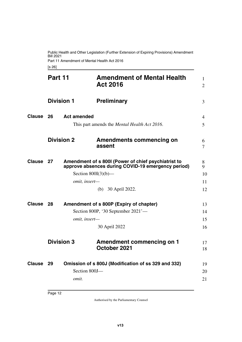Public Health and Other Legislation (Further Extension of Expiring Provisions) Amendment Bill 2021 Part 11 Amendment of Mental Health Act 2016

<span id="page-13-13"></span><span id="page-13-7"></span><span id="page-13-5"></span><span id="page-13-3"></span><span id="page-13-2"></span><span id="page-13-1"></span><span id="page-13-0"></span>[s 26]

<span id="page-13-15"></span><span id="page-13-14"></span><span id="page-13-12"></span><span id="page-13-11"></span><span id="page-13-10"></span><span id="page-13-9"></span><span id="page-13-8"></span><span id="page-13-6"></span><span id="page-13-4"></span>

|               | Part 11           |                        | <b>Amendment of Mental Health</b><br><b>Act 2016</b>                                                      | 1<br>$\overline{2}$ |
|---------------|-------------------|------------------------|-----------------------------------------------------------------------------------------------------------|---------------------|
|               | <b>Division 1</b> |                        | <b>Preliminary</b>                                                                                        | 3                   |
| <b>Clause</b> | 26                | <b>Act amended</b>     | This part amends the <i>Mental Health Act 2016</i> .                                                      | 4<br>5              |
|               | <b>Division 2</b> |                        | <b>Amendments commencing on</b><br>assent                                                                 | 6<br>7              |
| Clause        | 27                |                        | Amendment of s 800I (Power of chief psychiatrist to<br>approve absences during COVID-19 emergency period) | 8<br>9              |
|               |                   | Section $800I(3)(b)$ — |                                                                                                           | 10                  |
|               |                   | omit, insert-          |                                                                                                           | 11                  |
|               |                   |                        | (b) 30 April 2022.                                                                                        | 12                  |
| Clause        | 28                |                        | Amendment of s 800P (Expiry of chapter)                                                                   | 13                  |
|               |                   |                        | Section 800P, '30 September 2021'-                                                                        | 14                  |
|               |                   | omit, insert-          |                                                                                                           | 15                  |
|               |                   |                        | 30 April 2022                                                                                             | 16                  |
|               | <b>Division 3</b> |                        | <b>Amendment commencing on 1</b><br>October 2021                                                          | 17<br>18            |
| Clause        | 29                | Section 800J-<br>omit. | Omission of s 800J (Modification of ss 329 and 332)                                                       | 19<br>20<br>21      |
|               |                   |                        |                                                                                                           |                     |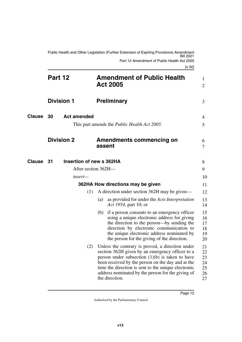<span id="page-14-11"></span><span id="page-14-10"></span><span id="page-14-9"></span><span id="page-14-8"></span><span id="page-14-7"></span><span id="page-14-6"></span><span id="page-14-5"></span><span id="page-14-4"></span><span id="page-14-3"></span><span id="page-14-2"></span><span id="page-14-1"></span><span id="page-14-0"></span>

|               | Part 12                        | <b>Amendment of Public Health</b><br><b>Act 2005</b>                                                                                                                                                                                                                                                                                        | 1<br>$\overline{2}$                    |
|---------------|--------------------------------|---------------------------------------------------------------------------------------------------------------------------------------------------------------------------------------------------------------------------------------------------------------------------------------------------------------------------------------------|----------------------------------------|
|               | <b>Division 1</b>              | <b>Preliminary</b>                                                                                                                                                                                                                                                                                                                          | 3                                      |
| <b>Clause</b> | <b>Act amended</b><br>30       |                                                                                                                                                                                                                                                                                                                                             | 4                                      |
|               |                                | This part amends the Public Health Act 2005.                                                                                                                                                                                                                                                                                                | 5                                      |
|               | <b>Division 2</b>              | <b>Amendments commencing on</b><br>assent                                                                                                                                                                                                                                                                                                   | 6<br>7                                 |
| <b>Clause</b> | Insertion of new s 362HA<br>31 |                                                                                                                                                                                                                                                                                                                                             | 8                                      |
|               |                                | After section 362H-                                                                                                                                                                                                                                                                                                                         | 9                                      |
|               | insert—                        |                                                                                                                                                                                                                                                                                                                                             | 10                                     |
|               |                                | 362HA How directions may be given                                                                                                                                                                                                                                                                                                           | 11                                     |
|               | (1)                            | A direction under section 362H may be given—                                                                                                                                                                                                                                                                                                | 12                                     |
|               |                                | as provided for under the Acts Interpretation<br>(a)<br>Act 1954, part 10; or                                                                                                                                                                                                                                                               | 13<br>14                               |
|               |                                | (b) if a person consents to an emergency officer<br>using a unique electronic address for giving<br>the direction to the person—by sending the<br>direction by electronic communication to<br>the unique electronic address nominated by<br>the person for the giving of the direction.                                                     | 15<br>16<br>17<br>18<br>19<br>20       |
|               | (2)                            | Unless the contrary is proved, a direction under<br>section 362H given by an emergency officer to a<br>person under subsection $(1)(b)$ is taken to have<br>been received by the person on the day and at the<br>time the direction is sent to the unique electronic<br>address nominated by the person for the giving of<br>the direction. | 21<br>22<br>23<br>24<br>25<br>26<br>27 |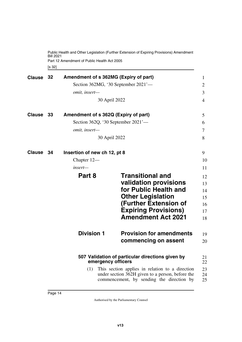<span id="page-15-1"></span><span id="page-15-0"></span>[s 32] Public Health and Other Legislation (Further Extension of Expiring Provisions) Amendment Bill 2021 Part 12 Amendment of Public Health Act 2005

<span id="page-15-11"></span><span id="page-15-10"></span><span id="page-15-9"></span><span id="page-15-8"></span><span id="page-15-7"></span><span id="page-15-6"></span><span id="page-15-5"></span><span id="page-15-4"></span><span id="page-15-3"></span><span id="page-15-2"></span>

| <b>Clause</b> | 32   | Amendment of s 362MG (Expiry of part)<br>omit, insert-                                                                                                  | 30 April 2022      | Section 362MG, '30 September 2021'-              | 1<br>2<br>3<br>4 |  |
|---------------|------|---------------------------------------------------------------------------------------------------------------------------------------------------------|--------------------|--------------------------------------------------|------------------|--|
| <b>Clause</b> | - 33 | Amendment of s 362Q (Expiry of part)                                                                                                                    |                    | Section 362Q, '30 September 2021'-               | 5<br>6           |  |
|               |      | omit, insert-                                                                                                                                           |                    |                                                  | 7                |  |
|               |      |                                                                                                                                                         | 30 April 2022      |                                                  | 8                |  |
| <b>Clause</b> | - 34 | Insertion of new ch 12, pt 8                                                                                                                            |                    |                                                  | 9                |  |
|               |      | Chapter 12—                                                                                                                                             |                    |                                                  | 10               |  |
|               |      | insert-                                                                                                                                                 |                    |                                                  | 11               |  |
|               |      | Part 8                                                                                                                                                  |                    | <b>Transitional and</b>                          | 12               |  |
|               |      |                                                                                                                                                         |                    | validation provisions<br>for Public Health and   | 13               |  |
|               |      |                                                                                                                                                         |                    | <b>Other Legislation</b>                         | 14<br>15         |  |
|               |      |                                                                                                                                                         |                    | <b>(Further Extension of</b>                     | 16               |  |
|               |      |                                                                                                                                                         |                    | <b>Expiring Provisions)</b>                      | 17               |  |
|               |      |                                                                                                                                                         |                    | <b>Amendment Act 2021</b>                        | 18               |  |
|               |      | <b>Division 1</b>                                                                                                                                       |                    | <b>Provision for amendments</b>                  | 19               |  |
|               |      |                                                                                                                                                         |                    | commencing on assent                             | 20               |  |
|               |      |                                                                                                                                                         | emergency officers | 507 Validation of particular directions given by | 21<br>22         |  |
|               |      | This section applies in relation to a direction<br>(1)<br>under section 362H given to a person, before the<br>commencement, by sending the direction by |                    |                                                  |                  |  |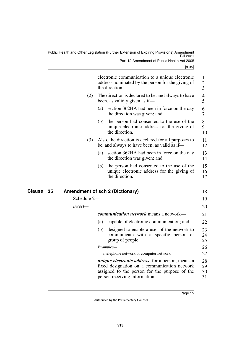<span id="page-16-1"></span><span id="page-16-0"></span>

|              |             |     | electronic communication to a unique electronic<br>address nominated by the person for the giving of<br>the direction.                                                                     |
|--------------|-------------|-----|--------------------------------------------------------------------------------------------------------------------------------------------------------------------------------------------|
|              | (2)         |     | The direction is declared to be, and always to have<br>been, as validly given as if—                                                                                                       |
|              |             | (a) | section 362HA had been in force on the day<br>the direction was given; and                                                                                                                 |
|              |             | (b) | the person had consented to the use of the<br>unique electronic address for the giving of<br>the direction.                                                                                |
|              | (3)         |     | Also, the direction is declared for all purposes to<br>be, and always to have been, as valid as if—                                                                                        |
|              |             | (a) | section 362HA had been in force on the day<br>the direction was given; and                                                                                                                 |
|              |             | (b) | the person had consented to the use of the<br>unique electronic address for the giving of<br>the direction.                                                                                |
| Clause<br>35 |             |     | <b>Amendment of sch 2 (Dictionary)</b>                                                                                                                                                     |
|              | Schedule 2- |     |                                                                                                                                                                                            |
|              | insert—     |     |                                                                                                                                                                                            |
|              |             |     | <i>communication network</i> means a network—                                                                                                                                              |
|              |             | (a) | capable of electronic communication; and                                                                                                                                                   |
|              |             | (b) | designed to enable a user of the network to<br>communicate with a specific person or<br>group of people.                                                                                   |
|              |             |     | Examples-                                                                                                                                                                                  |
|              |             |     | a telephone network or computer network                                                                                                                                                    |
|              |             |     | <i>unique electronic address</i> , for a person, means a<br>fixed designation on a communication network<br>assigned to the person for the purpose of the<br>person receiving information. |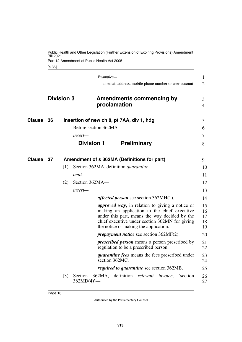<span id="page-17-5"></span><span id="page-17-4"></span><span id="page-17-3"></span><span id="page-17-2"></span><span id="page-17-1"></span><span id="page-17-0"></span>

|           |                   |     |                                      | Examples-<br>an email address, mobile phone number or user account                                                                                                                                                                                  | 1<br>$\overline{2}$        |
|-----------|-------------------|-----|--------------------------------------|-----------------------------------------------------------------------------------------------------------------------------------------------------------------------------------------------------------------------------------------------------|----------------------------|
|           | <b>Division 3</b> |     |                                      | <b>Amendments commencing by</b><br>proclamation                                                                                                                                                                                                     | 3<br>$\overline{4}$        |
| Clause    | 36                |     |                                      | Insertion of new ch 8, pt 7AA, div 1, hdg                                                                                                                                                                                                           | 5                          |
|           |                   |     |                                      | Before section 362MA-                                                                                                                                                                                                                               | 6                          |
|           |                   |     | insert—                              |                                                                                                                                                                                                                                                     | 7                          |
|           |                   |     | <b>Division 1</b>                    | <b>Preliminary</b>                                                                                                                                                                                                                                  | 8                          |
| Clause 37 |                   |     |                                      | Amendment of s 362MA (Definitions for part)                                                                                                                                                                                                         | 9                          |
|           |                   | (1) |                                      | Section 362MA, definition <i>quarantine</i> —                                                                                                                                                                                                       | 10                         |
|           |                   |     | omit.                                |                                                                                                                                                                                                                                                     | 11                         |
|           |                   | (2) | Section 362MA-                       |                                                                                                                                                                                                                                                     | 12                         |
|           |                   |     | insert—                              |                                                                                                                                                                                                                                                     | 13                         |
|           |                   |     |                                      | <i>affected person</i> see section $362MH(1)$ .                                                                                                                                                                                                     | 14                         |
|           |                   |     |                                      | <i>approved way</i> , in relation to giving a notice or<br>making an application to the chief executive<br>under this part, means the way decided by the<br>chief executive under section 362MN for giving<br>the notice or making the application. | 15<br>16<br>17<br>18<br>19 |
|           |                   |     |                                      | <i>prepayment notice</i> see section 362MF(2).                                                                                                                                                                                                      | 20                         |
|           |                   |     |                                      | <i>prescribed person</i> means a person prescribed by<br>regulation to be a prescribed person.                                                                                                                                                      | 21<br>22                   |
|           |                   |     |                                      | <i>quarantine fees</i> means the fees prescribed under<br>section 362MC.                                                                                                                                                                            | 23<br>24                   |
|           |                   |     |                                      | <i>required to quarantine</i> see section 362MB.                                                                                                                                                                                                    | 25                         |
|           |                   | (3) | Section<br>$362MD(4)$ <sup>'</sup> - | definition relevant<br>362MA,<br><i>invoice</i> , 'section                                                                                                                                                                                          | 26<br>27                   |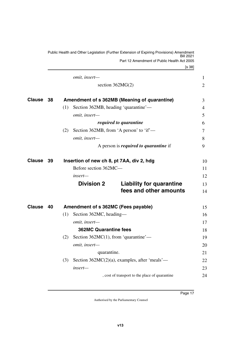<span id="page-18-5"></span><span id="page-18-4"></span><span id="page-18-3"></span><span id="page-18-2"></span><span id="page-18-1"></span><span id="page-18-0"></span>

|               |     | Public Health and Other Legislation (Further Extension of Expiring Provisions) Amendment<br>Bill 2021 |    |
|---------------|-----|-------------------------------------------------------------------------------------------------------|----|
|               |     | Part 12 Amendment of Public Health Act 2005                                                           |    |
|               |     | [s 38]                                                                                                |    |
|               |     | omit, insert-                                                                                         | 1  |
|               |     | section 362MG(2)                                                                                      | 2  |
| <b>Clause</b> | -38 | Amendment of s 362MB (Meaning of <i>quarantine</i> )                                                  | 3  |
|               |     | Section 362MB, heading 'quarantine'—<br>(1)                                                           | 4  |
|               |     | omit, insert-                                                                                         | 5  |
|               |     | required to quarantine                                                                                | 6  |
|               |     | Section 362MB, from 'A person' to 'if'—<br>(2)                                                        | 7  |
|               |     | omit, insert-                                                                                         | 8  |
|               |     | A person is <i>required to quarantine</i> if                                                          | 9  |
| <b>Clause</b> | 39  | Insertion of new ch 8, pt 7AA, div 2, hdg                                                             | 10 |
|               |     | Before section 362MC-                                                                                 | 11 |
|               |     | insert—                                                                                               | 12 |
|               |     | <b>Division 2</b><br><b>Liability for quarantine</b>                                                  | 13 |
|               |     | fees and other amounts                                                                                | 14 |
| <b>Clause</b> | 40  | Amendment of s 362MC (Fees payable)                                                                   | 15 |
|               |     | Section 362MC, heading—<br>(1)                                                                        | 16 |
|               |     | omit, insert-                                                                                         | 17 |
|               |     | <b>362MC Quarantine fees</b>                                                                          | 18 |
|               |     | Section $362MC(1)$ , from 'quarantine'—<br>(2)                                                        | 19 |
|               |     | omit, insert-                                                                                         | 20 |
|               |     | quarantine.                                                                                           | 21 |
|               |     | Section $362MC(2)(a)$ , examples, after 'meals'—<br>(3)                                               | 22 |
|               |     | insert-                                                                                               | 23 |
|               |     | , cost of transport to the place of quarantine                                                        | 24 |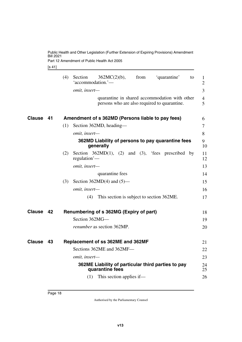Part 12 Amendment of Public Health Act 2005

<span id="page-19-1"></span>[s 41]

<span id="page-19-7"></span><span id="page-19-6"></span><span id="page-19-5"></span><span id="page-19-4"></span><span id="page-19-3"></span><span id="page-19-2"></span><span id="page-19-0"></span>

|               |    | (4) | Section<br>'accommodation.'- | $362MC(2)(b)$ ,                                                                               | from | 'quarantine'                          | to | 1<br>$\overline{2}$ |
|---------------|----|-----|------------------------------|-----------------------------------------------------------------------------------------------|------|---------------------------------------|----|---------------------|
|               |    |     | omit, insert-                |                                                                                               |      |                                       |    | $\overline{3}$      |
|               |    |     |                              | quarantine in shared accommodation with other<br>persons who are also required to quarantine. |      |                                       |    | $\overline{4}$<br>5 |
| <b>Clause</b> | 41 |     |                              | Amendment of s 362MD (Persons liable to pay fees)                                             |      |                                       |    | 6                   |
|               |    | (1) |                              | Section 362MD, heading—                                                                       |      |                                       |    | $\overline{7}$      |
|               |    |     | omit, insert-                |                                                                                               |      |                                       |    | 8                   |
|               |    |     |                              | 362MD Liability of persons to pay quarantine fees<br>generally                                |      |                                       |    | 9<br>10             |
|               |    | (2) | regulation'-                 | Section $362MD(1)$ ,                                                                          |      | $(2)$ and $(3)$ , 'fees prescribed by |    | 11<br>12            |
|               |    |     | omit, insert-                |                                                                                               |      |                                       |    | 13                  |
|               |    |     |                              | quarantine fees                                                                               |      |                                       |    | 14                  |
|               |    | (3) |                              | Section 362MD(4) and $(5)$ —                                                                  |      |                                       |    | 15                  |
|               |    |     | omit, insert-                |                                                                                               |      |                                       |    | 16                  |
|               |    |     | (4)                          | This section is subject to section 362ME.                                                     |      |                                       |    | 17                  |
| <b>Clause</b> | 42 |     |                              | Renumbering of s 362MG (Expiry of part)                                                       |      |                                       |    | 18                  |
|               |    |     | Section 362MG-               |                                                                                               |      |                                       |    | 19                  |
|               |    |     |                              | <i>renumber</i> as section 362MP.                                                             |      |                                       |    | 20                  |
| <b>Clause</b> | 43 |     |                              | Replacement of ss 362ME and 362MF                                                             |      |                                       |    | 21                  |
|               |    |     |                              | Sections 362ME and 362MF-                                                                     |      |                                       |    | 22                  |
|               |    |     | omit, insert-                |                                                                                               |      |                                       |    | 23                  |
|               |    |     |                              | 362ME Liability of particular third parties to pay<br>quarantine fees                         |      |                                       |    | 24<br>25            |
|               |    |     | (1)                          | This section applies if—                                                                      |      |                                       |    | 26                  |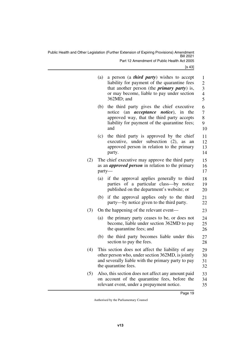Public Health and Other Legislation (Further Extension of Expiring Provisions) Amendment Bill 2021 Part 12 Amendment of Public Health Act 2005

|     | (a)    | a person (a <i>third party</i> ) wishes to accept<br>liability for payment of the quarantine fees<br>that another person (the <i>primary party</i> ) is,<br>or may become, liable to pay under section<br>362MD; and | 1<br>$\overline{c}$<br>3<br>4<br>5 |
|-----|--------|----------------------------------------------------------------------------------------------------------------------------------------------------------------------------------------------------------------------|------------------------------------|
|     | (b)    | the third party gives the chief executive<br>notice (an <i>acceptance notice</i> ),<br>in<br>the<br>approved way, that the third party accepts<br>liability for payment of the quarantine fees;<br>and               | 6<br>7<br>8<br>9<br>10             |
|     | (c)    | the third party is approved by the chief<br>executive, under subsection (2), as<br>an<br>approved person in relation to the primary<br>party.                                                                        | 11<br>12<br>13<br>14               |
| (2) | party- | The chief executive may approve the third party<br>as an <i>approved person</i> in relation to the primary                                                                                                           | 15<br>16<br>17                     |
|     | (a)    | if the approval applies generally to third<br>parties of a particular class-by notice<br>published on the department's website; or                                                                                   | 18<br>19<br>20                     |
|     | (b)    | if the approval applies only to the third<br>party—by notice given to the third party.                                                                                                                               | 21<br>22                           |
| (3) |        | On the happening of the relevant event—                                                                                                                                                                              | 23                                 |
|     | (a)    | the primary party ceases to be, or does not<br>become, liable under section 362MD to pay<br>the quarantine fees; and                                                                                                 | 24<br>25<br>26                     |
|     | (b)    | the third party becomes liable under this<br>section to pay the fees.                                                                                                                                                | 27<br>28                           |
| (4) |        | This section does not affect the liability of any<br>other person who, under section 362MD, is jointly<br>and severally liable with the primary party to pay<br>the quarantine fees.                                 | 29<br>30<br>31<br>32               |
| (5) |        | Also, this section does not affect any amount paid<br>on account of the quarantine fees, before the<br>relevant event, under a prepayment notice.                                                                    | 33<br>34<br>35                     |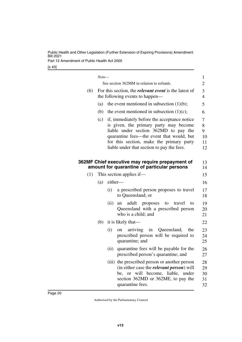Part 12 Amendment of Public Health Act 2005

<span id="page-21-1"></span><span id="page-21-0"></span>

|     | $Note-$ |         |                                                                                                                                                                                                                                                                        | $\mathbf{1}$               |  |  |  |
|-----|---------|---------|------------------------------------------------------------------------------------------------------------------------------------------------------------------------------------------------------------------------------------------------------------------------|----------------------------|--|--|--|
|     |         |         | See section 362MM in relation to refunds.                                                                                                                                                                                                                              | $\mathbf{2}$               |  |  |  |
| (6) |         |         | For this section, the <i>relevant event</i> is the latest of<br>the following events to happen—                                                                                                                                                                        |                            |  |  |  |
|     | (a)     |         | the event mentioned in subsection $(1)(b)$ ;                                                                                                                                                                                                                           |                            |  |  |  |
|     | (b)     |         | the event mentioned in subsection $(1)(c)$ ;                                                                                                                                                                                                                           |                            |  |  |  |
|     | (c)     |         | if, immediately before the acceptance notice<br>is given, the primary party may become<br>liable under section 362MD to pay the<br>quarantine fees—the event that would, but<br>for this section, make the primary party<br>liable under that section to pay the fees. |                            |  |  |  |
|     |         |         | 362MF Chief executive may require prepayment of<br>amount for quarantine of particular persons                                                                                                                                                                         | 13<br>14                   |  |  |  |
| (1) |         |         | This section applies if—                                                                                                                                                                                                                                               | 15                         |  |  |  |
|     | (a)     | either- |                                                                                                                                                                                                                                                                        | 16                         |  |  |  |
|     |         | (i)     | a prescribed person proposes to travel<br>to Queensland; or                                                                                                                                                                                                            | 17<br>18                   |  |  |  |
|     |         | (ii)    | adult<br>proposes<br>travel<br>to<br>to<br>an<br>Queensland with a prescribed person<br>who is a child; and                                                                                                                                                            | 19<br>20<br>21             |  |  |  |
|     | (b)     |         | it is likely that—                                                                                                                                                                                                                                                     | 22                         |  |  |  |
|     |         | (i)     | arriving in Queensland,<br>the<br>on<br>prescribed person will be required to<br>quarantine; and                                                                                                                                                                       | 23<br>24<br>25             |  |  |  |
|     |         | (ii)    | quarantine fees will be payable for the<br>prescribed person's quarantine; and                                                                                                                                                                                         | 26<br>27                   |  |  |  |
|     |         |         | (iii) the prescribed person or another person<br>(in either case the <i>relevant person</i> ) will<br>be, or will become, liable, under<br>section 362MD or 362ME, to pay the<br>quarantine fees.                                                                      | 28<br>29<br>30<br>31<br>32 |  |  |  |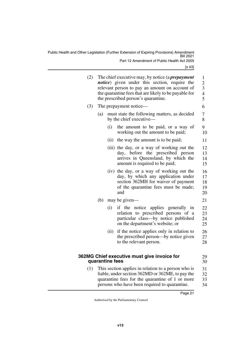Public Health and Other Legislation (Further Extension of Expiring Provisions) Amendment Bill 2021 Part 12 Amendment of Public Health Act 2005

<span id="page-22-1"></span><span id="page-22-0"></span>

| (2) |     |                 | The chief executive may, by notice (a <i>prepayment</i><br><i>notice</i> ) given under this section, require the<br>relevant person to pay an amount on account of<br>the quarantine fees that are likely to be payable for<br>the prescribed person's quarantine. | 1<br>$\overline{c}$<br>$\begin{array}{c} 3 \\ 4 \\ 5 \end{array}$ |  |  |  |
|-----|-----|-----------------|--------------------------------------------------------------------------------------------------------------------------------------------------------------------------------------------------------------------------------------------------------------------|-------------------------------------------------------------------|--|--|--|
| (3) |     |                 | The prepayment notice—                                                                                                                                                                                                                                             |                                                                   |  |  |  |
|     | (a) |                 | must state the following matters, as decided<br>by the chief executive—                                                                                                                                                                                            | 7<br>8                                                            |  |  |  |
|     |     | (i)             | the amount to be paid, or a way of<br>working out the amount to be paid;                                                                                                                                                                                           | 9<br>10                                                           |  |  |  |
|     |     |                 | (ii) the way the amount is to be paid;                                                                                                                                                                                                                             | 11                                                                |  |  |  |
|     |     |                 | (iii) the day, or a way of working out the<br>day, before the prescribed person<br>arrives in Queensland, by which the<br>amount is required to be paid;                                                                                                           | 12<br>13<br>14<br>15                                              |  |  |  |
|     |     |                 | (iv) the day, or a way of working out the<br>day, by which any application under<br>section 362MH for waiver of payment<br>of the quarantine fees must be made;<br>and                                                                                             | 16<br>17<br>18<br>19<br>20                                        |  |  |  |
|     | (b) |                 | may be given—                                                                                                                                                                                                                                                      | 21                                                                |  |  |  |
|     |     | (i)             | if the notice applies generally in<br>relation to prescribed persons of a<br>particular class—by notice published<br>on the department's website; or                                                                                                               | 22<br>23<br>24<br>25                                              |  |  |  |
|     |     | (ii)            | if the notice applies only in relation to<br>the prescribed person—by notice given<br>to the relevant person.                                                                                                                                                      | 26<br>27<br>28                                                    |  |  |  |
|     |     | quarantine fees | 362MG Chief executive must give invoice for                                                                                                                                                                                                                        | 29<br>30                                                          |  |  |  |
| (1) |     |                 | This section applies in relation to a person who is<br>liable, under section 362MD or 362ME, to pay the<br>quarantine fees for the quarantine of 1 or more<br>persons who have been required to quarantine.                                                        | 31<br>32<br>33<br>34                                              |  |  |  |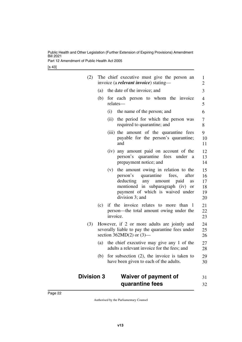Part 12 Amendment of Public Health Act 2005

[s 43]

| (2)               |     | The chief executive must give the person an<br>invoice (a <i>relevant invoice</i> ) stating—                                                                                                                                   | $\mathbf{1}$<br>$\overline{2}$   |
|-------------------|-----|--------------------------------------------------------------------------------------------------------------------------------------------------------------------------------------------------------------------------------|----------------------------------|
|                   | (a) | the date of the invoice; and                                                                                                                                                                                                   | 3                                |
|                   | (b) | for each person to whom the invoice<br>relates-                                                                                                                                                                                | 4<br>5                           |
|                   |     | the name of the person; and<br>(i)                                                                                                                                                                                             | 6                                |
|                   |     | (ii)<br>the period for which the person was<br>required to quarantine; and                                                                                                                                                     | 7<br>8                           |
|                   |     | (iii) the amount of the quarantine fees<br>payable for the person's quarantine;<br>and                                                                                                                                         | 9<br>10<br>11                    |
|                   |     | (iv) any amount paid on account of the<br>person's quarantine<br>fees under<br>a<br>prepayment notice; and                                                                                                                     | 12<br>13<br>14                   |
|                   |     | the amount owing in relation to the<br>(v)<br>person's<br>quarantine<br>fees,<br>after<br>deducting<br>any amount<br>paid<br>as<br>mentioned in subparagraph (iv)<br>or<br>payment of which is waived under<br>division 3; and | 15<br>16<br>17<br>18<br>19<br>20 |
|                   | (c) | if the invoice relates to more<br>than<br>-1<br>person—the total amount owing under the<br>invoice.                                                                                                                            | 21<br>22<br>23                   |
| (3)               |     | However, if 2 or more adults are jointly and<br>severally liable to pay the quarantine fees under<br>section $362MD(2)$ or $(3)$ —                                                                                             | 24<br>25<br>26                   |
|                   | (a) | the chief executive may give any 1 of the<br>adults a relevant invoice for the fees; and                                                                                                                                       | 27<br>28                         |
|                   | (b) | for subsection $(2)$ , the invoice is taken to<br>have been given to each of the adults.                                                                                                                                       | 29<br>30                         |
| <b>Division 3</b> |     | <b>Waiver of payment of</b>                                                                                                                                                                                                    | 31                               |

<span id="page-23-1"></span><span id="page-23-0"></span>**quarantine fees**

32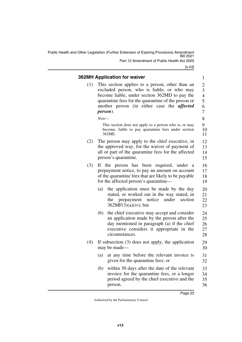Public Health and Other Legislation (Further Extension of Expiring Provisions) Amendment Bill 2021 Part 12 Amendment of Public Health Act 2005

[s 43]

### <span id="page-24-0"></span>**362MH Application for waiver**

<span id="page-24-1"></span>(1) This section applies to a person, other than an excluded person, who is liable, or who may become liable, under section 362MD to pay the quarantine fees for the quarantine of the person or another person (in either case the *affected person*).

#### *Note—*

This section does not apply to a person who is, or may become, liable to pay quarantine fees under section 362ME.

- (2) The person may apply to the chief executive, in the approved way, for the waiver of payment of all or part of the quarantine fees for the affected person's quarantine. 12 13 14 15
- (3) If the person has been required, under a prepayment notice, to pay an amount on account of the quarantine fees that are likely to be payable for the affected person's quarantine— 16 17 18 19
	- (a) the application must be made by the day stated, or worked out in the way stated, in the prepayment notice under section  $362MF(3)(a)(iv)$ ; but 20 21 22 23
	- (b) the chief executive may accept and consider an application made by the person after the day mentioned in paragraph (a) if the chief executive considers it appropriate in the circumstances. 24 25 26 27 28
- (4) If subsection (3) does not apply, the application may be made— 29 30
	- (a) at any time before the relevant invoice is given for the quarantine fees; or 31 32
	- (b) within 30 days after the date of the relevant invoice for the quarantine fees, or a longer period agreed by the chief executive and the person. 33 34 35 36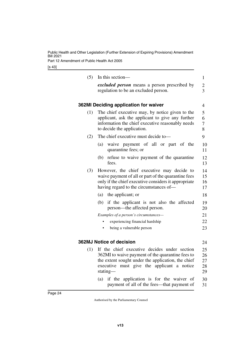Part 12 Amendment of Public Health Act 2005

<span id="page-25-3"></span><span id="page-25-2"></span><span id="page-25-1"></span><span id="page-25-0"></span>

| (5) | In this section-                                                                | $\mathbf{1}$   |
|-----|---------------------------------------------------------------------------------|----------------|
|     | excluded person means a person prescribed by                                    | $\overline{c}$ |
|     | regulation to be an excluded person.                                            | 3              |
|     |                                                                                 |                |
|     | 362MI Deciding application for waiver                                           | 4              |
| (1) | The chief executive may, by notice given to the                                 | 5              |
|     | applicant, ask the applicant to give any further                                | 6              |
|     | information the chief executive reasonably needs<br>to decide the application.  | 7<br>8         |
|     |                                                                                 |                |
| (2) | The chief executive must decide to-                                             | 9              |
|     | waive payment of all or part of the<br>(a)<br>quarantine fees; or               | 10<br>11       |
|     | refuse to waive payment of the quarantine<br>(b)<br>fees.                       | 12<br>13       |
| (3) | However, the chief executive may decide to                                      | 14             |
|     | waive payment of all or part of the quarantine fees                             | 15             |
|     | only if the chief executive considers it appropriate                            | 16             |
|     | having regard to the circumstances of—                                          | 17             |
|     | (a) the applicant; or                                                           | 18             |
|     | if the applicant is not also the affected<br>(b)<br>person—the affected person. | 19<br>20       |
|     | Examples of a person's circumstances-                                           | 21             |
|     | experiencing financial hardship                                                 | 22             |
|     | being a vulnerable person                                                       | 23             |
|     |                                                                                 |                |
|     | <b>362MJ Notice of decision</b>                                                 | 24             |
| (1) | If the chief executive decides under section                                    | 25             |
|     | 362MI to waive payment of the quarantine fees to                                | 26             |
|     | the extent sought under the application, the chief                              | 27             |
|     | executive<br>must give the applicant a notice<br>stating—                       | 28             |
|     |                                                                                 | 29             |
|     | (a) if the application is for the waiver of                                     | 30             |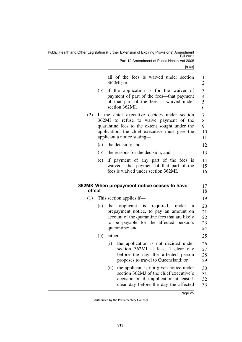<span id="page-26-1"></span><span id="page-26-0"></span>

|        |     | all of the fees is waived under section                                                                                                                                                                                    | $\mathbf{1}$                  |
|--------|-----|----------------------------------------------------------------------------------------------------------------------------------------------------------------------------------------------------------------------------|-------------------------------|
|        |     | $362MI$ ; or                                                                                                                                                                                                               | $\mathbf{2}$                  |
|        | (b) | if the application is for the waiver of<br>payment of part of the fees—that payment<br>of that part of the fees is waived under<br>section 362MI.                                                                          | 3<br>$\overline{4}$<br>5<br>6 |
| (2)    |     | If the chief executive decides under section<br>362MI to refuse to waive payment of the<br>quarantine fees to the extent sought under the<br>application, the chief executive must give the<br>applicant a notice stating— | $\tau$<br>8<br>9<br>10<br>11  |
|        | (a) | the decision; and                                                                                                                                                                                                          | 12                            |
|        |     | (b) the reasons for the decision; and                                                                                                                                                                                      | 13                            |
|        | (c) | if payment of any part of the fees is<br>waived—that payment of that part of the<br>fees is waived under section 362MI.                                                                                                    | 14<br>15<br>16                |
|        |     |                                                                                                                                                                                                                            |                               |
| effect |     | 362MK When prepayment notice ceases to have                                                                                                                                                                                | 17<br>18                      |
| (1)    |     | This section applies if—                                                                                                                                                                                                   | 19                            |
|        | (a) | the<br>applicant is required, under<br>a<br>prepayment notice, to pay an amount on<br>account of the quarantine fees that are likely<br>to be payable for the affected person's<br>quarantine; and                         | 20<br>21<br>22<br>23<br>24    |
|        | (b) | either-                                                                                                                                                                                                                    | 25                            |
|        |     | the application is not decided under<br>(i)<br>section 362MI at least 1 clear day<br>before the day the affected person<br>proposes to travel to Queensland; or                                                            | 26<br>27<br>28<br>29          |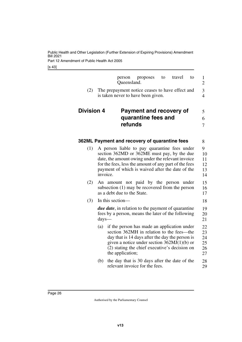Part 12 Amendment of Public Health Act 2005

<span id="page-27-3"></span><span id="page-27-2"></span><span id="page-27-1"></span><span id="page-27-0"></span>

|                   | person<br>Queensland.                                                                                                                                                                                                                                                     | proposes<br>to                                                                                                                                                                                                                                | travel<br>to | $\mathbf{1}$<br>$\overline{2}$   |
|-------------------|---------------------------------------------------------------------------------------------------------------------------------------------------------------------------------------------------------------------------------------------------------------------------|-----------------------------------------------------------------------------------------------------------------------------------------------------------------------------------------------------------------------------------------------|--------------|----------------------------------|
| (2)               | The prepayment notice ceases to have effect and<br>is taken never to have been given.                                                                                                                                                                                     |                                                                                                                                                                                                                                               |              | 3<br>$\overline{4}$              |
| <b>Division 4</b> |                                                                                                                                                                                                                                                                           | <b>Payment and recovery of</b><br>quarantine fees and                                                                                                                                                                                         |              | 5<br>6                           |
|                   | refunds                                                                                                                                                                                                                                                                   |                                                                                                                                                                                                                                               |              | 7                                |
|                   | 362ML Payment and recovery of quarantine fees                                                                                                                                                                                                                             |                                                                                                                                                                                                                                               |              | 8                                |
| (1)               | A person liable to pay quarantine fees under<br>section 362MD or 362ME must pay, by the due<br>date, the amount owing under the relevant invoice<br>for the fees, less the amount of any part of the fees<br>payment of which is waived after the date of the<br>invoice. |                                                                                                                                                                                                                                               |              | 9<br>10<br>11<br>12<br>13<br>14  |
| (2)               | An amount not paid by the person under<br>subsection (1) may be recovered from the person<br>as a debt due to the State.                                                                                                                                                  |                                                                                                                                                                                                                                               |              | 15<br>16<br>17                   |
| (3)               | In this section—                                                                                                                                                                                                                                                          |                                                                                                                                                                                                                                               |              | 18                               |
|                   | <i>due date</i> , in relation to the payment of quarantine<br>fees by a person, means the later of the following<br>$\frac{days}{x}$                                                                                                                                      |                                                                                                                                                                                                                                               |              | 19<br>20<br>21                   |
|                   | (a)<br>the application;                                                                                                                                                                                                                                                   | if the person has made an application under<br>section 362MH in relation to the fees—the<br>day that is 14 days after the day the person is<br>given a notice under section $362MJ(1)(b)$ or<br>(2) stating the chief executive's decision on |              | 22<br>23<br>24<br>25<br>26<br>27 |
|                   | (b)                                                                                                                                                                                                                                                                       | the day that is 30 days after the date of the<br>relevant invoice for the fees.                                                                                                                                                               |              | 28<br>29                         |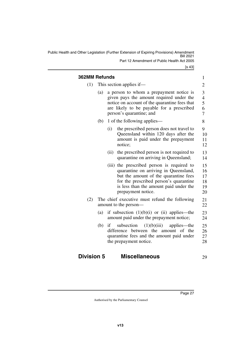Public Health and Other Legislation (Further Extension of Expiring Provisions) Amendment Bill 2021 Part 12 Amendment of Public Health Act 2005

<span id="page-28-1"></span><span id="page-28-0"></span>

| <b>362MM Refunds</b> |                          |                                                                                                                                                                                                                                        | $\mathbf{1}$                       |
|----------------------|--------------------------|----------------------------------------------------------------------------------------------------------------------------------------------------------------------------------------------------------------------------------------|------------------------------------|
| (1)                  | This section applies if— |                                                                                                                                                                                                                                        |                                    |
|                      | (a)                      | a person to whom a prepayment notice is<br>given pays the amount required under the<br>notice on account of the quarantine fees that<br>are likely to be payable for a prescribed<br>person's quarantine; and                          | 3<br>4<br>5<br>6<br>$\overline{7}$ |
|                      | (b)                      | 1 of the following applies—                                                                                                                                                                                                            | 8                                  |
|                      |                          | the prescribed person does not travel to<br>(i)<br>Queensland within 120 days after the<br>amount is paid under the prepayment<br>notice;                                                                                              | 9<br>10<br>11<br>12                |
|                      |                          | (ii)<br>the prescribed person is not required to<br>quarantine on arriving in Queensland;                                                                                                                                              | 13<br>14                           |
|                      |                          | (iii) the prescribed person is required to<br>quarantine on arriving in Queensland,<br>but the amount of the quarantine fees<br>for the prescribed person's quarantine<br>is less than the amount paid under the<br>prepayment notice. | 15<br>16<br>17<br>18<br>19<br>20   |
| (2)                  |                          | The chief executive must refund the following<br>amount to the person-                                                                                                                                                                 | 21<br>22                           |
|                      | (a)                      | if subsection $(1)(b)(i)$ or $(ii)$ applies—the<br>amount paid under the prepayment notice;                                                                                                                                            | 23<br>24                           |
|                      | (b)                      | (1)(b)(iii)<br>if<br>subsection<br>applies—the<br>difference between the<br>of the<br>amount<br>quarantine fees and the amount paid under<br>the prepayment notice.                                                                    | 25<br>26<br>27<br>28               |

#### <span id="page-28-3"></span><span id="page-28-2"></span>**Division 5 Miscellaneous** 29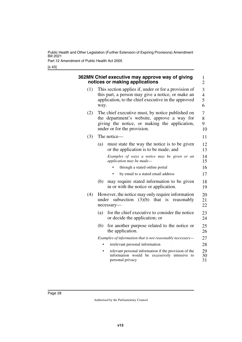Part 12 Amendment of Public Health Act 2005

<span id="page-29-1"></span><span id="page-29-0"></span>

|     | 362MN Chief executive may approve way of giving<br>notices or making applications                                                                                               |
|-----|---------------------------------------------------------------------------------------------------------------------------------------------------------------------------------|
| (1) | This section applies if, under or for a provision of<br>this part, a person may give a notice, or make an<br>application, to the chief executive in the approved<br>way.        |
| (2) | The chief executive must, by notice published on<br>the department's website, approve a way for<br>giving the notice, or making the application,<br>under or for the provision. |
| (3) | The notice-                                                                                                                                                                     |
|     | must state the way the notice is to be given<br>(a)<br>or the application is to be made; and                                                                                    |
|     | Examples of ways a notice may be given or an<br>application may be made-                                                                                                        |
|     | through a stated online portal<br>by email to a stated email address                                                                                                            |
|     | may require stated information to be given<br>(b)<br>in or with the notice or application.                                                                                      |
| (4) | However, the notice may only require information<br>subsection $(3)(b)$ that is reasonably<br>under<br>necessary-                                                               |
|     | for the chief executive to consider the notice<br>(a)<br>or decide the application; or                                                                                          |
|     | for another purpose related to the notice or<br>(b)<br>the application.                                                                                                         |
|     | Examples of information that is not reasonably necessary-                                                                                                                       |
|     | irrelevant personal information                                                                                                                                                 |
|     | relevant personal information if the provision of the<br>information would be excessively intrusive to<br>personal privacy                                                      |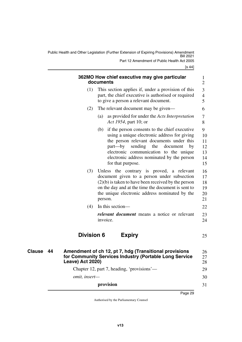<span id="page-30-3"></span><span id="page-30-2"></span><span id="page-30-1"></span><span id="page-30-0"></span>

|               |    |                                            | 362MO How chief executive may give particular<br>documents                                                                                                                                                                                                                                                | $\mathbf{1}$<br>$\overline{2}$        |
|---------------|----|--------------------------------------------|-----------------------------------------------------------------------------------------------------------------------------------------------------------------------------------------------------------------------------------------------------------------------------------------------------------|---------------------------------------|
|               |    | (1)                                        | This section applies if, under a provision of this<br>part, the chief executive is authorised or required<br>to give a person a relevant document.                                                                                                                                                        | 3<br>$\overline{4}$<br>5              |
|               |    | (2)                                        | The relevant document may be given—                                                                                                                                                                                                                                                                       | 6                                     |
|               |    |                                            | as provided for under the Acts Interpretation<br>(a)<br>Act 1954, part 10; or                                                                                                                                                                                                                             | 7<br>8                                |
|               |    |                                            | if the person consents to the chief executive<br>(b)<br>using a unique electronic address for giving<br>the person relevant documents under this<br>part—by<br>sending the<br>document<br>by<br>electronic communication to the unique<br>electronic address nominated by the person<br>for that purpose. | 9<br>10<br>11<br>12<br>13<br>14<br>15 |
|               |    | (3)                                        | Unless the contrary is proved, a relevant<br>document given to a person under subsection<br>$(2)(b)$ is taken to have been received by the person<br>on the day and at the time the document is sent to<br>the unique electronic address nominated by the<br>person.                                      | 16<br>17<br>18<br>19<br>20<br>21      |
|               |    | (4)                                        | In this section-                                                                                                                                                                                                                                                                                          | 22                                    |
|               |    |                                            | <i>relevant document</i> means a notice or relevant<br>invoice.                                                                                                                                                                                                                                           | 23<br>24                              |
|               |    | <b>Division 6</b>                          | <b>Expiry</b>                                                                                                                                                                                                                                                                                             | 25                                    |
| <b>Clause</b> | 44 | <b>Leave) Act 2020)</b>                    | Amendment of ch 12, pt 7, hdg (Transitional provisions<br>for Community Services Industry (Portable Long Service                                                                                                                                                                                          | 26<br>27<br>28                        |
|               |    | Chapter 12, part 7, heading, 'provisions'— |                                                                                                                                                                                                                                                                                                           |                                       |
|               |    | omit, insert-                              |                                                                                                                                                                                                                                                                                                           | 30                                    |
|               |    |                                            | provision                                                                                                                                                                                                                                                                                                 | 31                                    |
|               |    |                                            |                                                                                                                                                                                                                                                                                                           |                                       |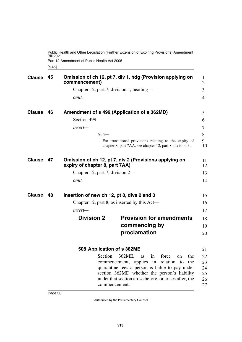<span id="page-31-1"></span>[s 45] Public Health and Other Legislation (Further Extension of Expiring Provisions) Amendment Bill 2021 Part 12 Amendment of Public Health Act 2005

<span id="page-31-5"></span><span id="page-31-4"></span><span id="page-31-3"></span><span id="page-31-2"></span><span id="page-31-0"></span>

| <b>Clause</b> | 45 | commencement)                              | Omission of ch 12, pt 7, div 1, hdg (Provision applying on                                                                                                                                                                                                           | 1<br>$\overline{2}$              |
|---------------|----|--------------------------------------------|----------------------------------------------------------------------------------------------------------------------------------------------------------------------------------------------------------------------------------------------------------------------|----------------------------------|
|               |    |                                            | Chapter 12, part 7, division 1, heading—                                                                                                                                                                                                                             | 3                                |
|               |    | omit.                                      |                                                                                                                                                                                                                                                                      | 4                                |
| <b>Clause</b> | 46 |                                            | Amendment of s 499 (Application of s 362MD)                                                                                                                                                                                                                          | 5                                |
|               |    | Section 499-                               |                                                                                                                                                                                                                                                                      | 6                                |
|               |    | insert-                                    |                                                                                                                                                                                                                                                                      | 7                                |
|               |    | $Note-$                                    |                                                                                                                                                                                                                                                                      | 8                                |
|               |    |                                            | For transitional provisions relating to the expiry of<br>chapter 8, part 7AA, see chapter 12, part 8, division 3.                                                                                                                                                    | 9<br>10                          |
| <b>Clause</b> | 47 | expiry of chapter 8, part 7AA)             | Omission of ch 12, pt 7, div 2 (Provisions applying on                                                                                                                                                                                                               | 11<br>12                         |
|               |    | Chapter 12, part 7, division 2—            |                                                                                                                                                                                                                                                                      | 13                               |
|               |    | omit.                                      |                                                                                                                                                                                                                                                                      | 14                               |
| <b>Clause</b> | 48 | Insertion of new ch 12, pt 8, divs 2 and 3 |                                                                                                                                                                                                                                                                      | 15                               |
|               |    |                                            | Chapter 12, part 8, as inserted by this Act—                                                                                                                                                                                                                         | 16                               |
|               |    | $insert$ —                                 |                                                                                                                                                                                                                                                                      | 17                               |
|               |    | <b>Division 2</b>                          | <b>Provision for amendments</b>                                                                                                                                                                                                                                      | 18                               |
|               |    |                                            | commencing by                                                                                                                                                                                                                                                        | 19                               |
|               |    |                                            | proclamation                                                                                                                                                                                                                                                         | 20                               |
|               |    | 508 Application of s 362ME                 |                                                                                                                                                                                                                                                                      | 21                               |
|               |    | Section                                    | 362ME,<br>as<br>force<br>the<br>1n<br>on<br>commencement, applies in relation to<br>the<br>quarantine fees a person is liable to pay under<br>section 362MD whether the person's liability<br>under that section arose before, or arises after, the<br>commencement. | 22<br>23<br>24<br>25<br>26<br>27 |

<span id="page-31-11"></span><span id="page-31-10"></span><span id="page-31-9"></span><span id="page-31-8"></span><span id="page-31-7"></span><span id="page-31-6"></span>Page 30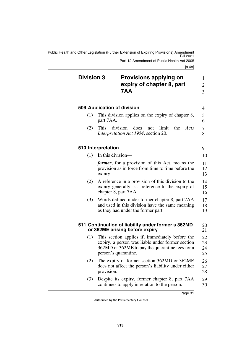Public Health and Other Legislation (Further Extension of Expiring Provisions) Amendment Bill 2021 Part 12 Amendment of Public Health Act 2005

<span id="page-32-7"></span><span id="page-32-6"></span><span id="page-32-5"></span><span id="page-32-4"></span><span id="page-32-3"></span><span id="page-32-2"></span><span id="page-32-1"></span><span id="page-32-0"></span>

| <b>Division 3</b> | <b>Provisions applying on</b><br>expiry of chapter 8, part<br>7AA                                                                                                              | 1<br>$\overline{2}$<br>3 |
|-------------------|--------------------------------------------------------------------------------------------------------------------------------------------------------------------------------|--------------------------|
|                   | 509 Application of division                                                                                                                                                    | 4                        |
| (1)               | This division applies on the expiry of chapter 8,<br>part 7AA.                                                                                                                 | 5<br>6                   |
| (2)               | division<br>This<br>does<br>limit<br>the<br>not<br>Acts<br>Interpretation Act 1954, section 20.                                                                                | 7<br>8                   |
|                   | 510 Interpretation                                                                                                                                                             | 9                        |
| (1)               | In this division—                                                                                                                                                              | 10                       |
|                   | <i>former</i> , for a provision of this Act, means the<br>provision as in force from time to time before the<br>expiry.                                                        | 11<br>12<br>13           |
| (2)               | A reference in a provision of this division to the<br>expiry generally is a reference to the expiry of<br>chapter 8, part 7AA.                                                 | 14<br>15<br>16           |
| (3)               | Words defined under former chapter 8, part 7AA<br>and used in this division have the same meaning<br>as they had under the former part.                                        | 17<br>18<br>19           |
|                   | 511 Continuation of liability under former s 362MD<br>or 362ME arising before expiry                                                                                           | 20<br>21                 |
| (1)               | This section applies if, immediately before the<br>expiry, a person was liable under former section<br>362MD or 362ME to pay the quarantine fees for a<br>person's quarantine. | 22<br>23<br>24<br>25     |
| (2)               | The expiry of former section 362MD or 362ME<br>does not affect the person's liability under either<br>provision.                                                               | 26<br>27<br>28           |
| (3)               | Despite its expiry, former chapter 8, part 7AA<br>continues to apply in relation to the person.                                                                                | 29<br>30                 |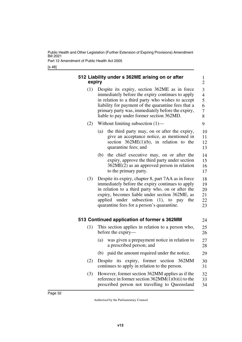Part 12 Amendment of Public Health Act 2005

[s 48]

<span id="page-33-3"></span><span id="page-33-2"></span><span id="page-33-1"></span><span id="page-33-0"></span>

| (1) | Despite its expiry, section 362ME as in force                                                                                                                                                                                                                                                            |
|-----|----------------------------------------------------------------------------------------------------------------------------------------------------------------------------------------------------------------------------------------------------------------------------------------------------------|
|     | immediately before the expiry continues to apply<br>in relation to a third party who wishes to accept                                                                                                                                                                                                    |
|     | liability for payment of the quarantine fees that a                                                                                                                                                                                                                                                      |
|     | primary party was, immediately before the expiry,<br>liable to pay under former section 362MD.                                                                                                                                                                                                           |
| (2) | Without limiting subsection $(1)$ —                                                                                                                                                                                                                                                                      |
|     | the third party may, on or after the expiry,<br>(a)<br>give an acceptance notice, as mentioned in<br>section $362ME(1)(b)$ , in relation to the<br>quarantine fees; and                                                                                                                                  |
|     | (b)<br>the chief executive may, on or after the<br>expiry, approve the third party under section<br>$362ME(2)$ as an approved person in relation<br>to the primary party.                                                                                                                                |
| (3) | Despite its expiry, chapter 8, part 7AA as in force<br>immediately before the expiry continues to apply<br>in relation to a third party who, on or after the<br>expiry, becomes liable under section 362ME, as<br>applied under subsection (1), to pay the<br>quarantine fees for a person's quarantine. |
|     | 513 Continued application of former s 362MM                                                                                                                                                                                                                                                              |
| (1) | This section applies in relation to a person who,<br>before the expiry—                                                                                                                                                                                                                                  |
|     | (a)<br>was given a prepayment notice in relation to<br>a prescribed person; and                                                                                                                                                                                                                          |
|     | paid the amount required under the notice.<br>(b)                                                                                                                                                                                                                                                        |
| (2) | Despite its expiry, former section 362MM<br>continues to apply in relation to the person.                                                                                                                                                                                                                |
| (3) | However, former section 362MM applies as if the<br>reference in former section $362MM(1)(b)(i)$ to the                                                                                                                                                                                                   |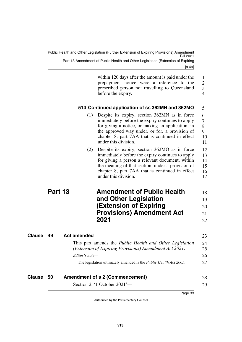<span id="page-34-1"></span><span id="page-34-0"></span>

|               |         |                    | within 120 days after the amount is paid under the<br>prepayment notice were a reference to the<br>prescribed person not travelling to Queensland<br>before the expiry.                                                                                                              | $\mathbf{1}$<br>$\overline{2}$<br>3<br>$\overline{4}$ |
|---------------|---------|--------------------|--------------------------------------------------------------------------------------------------------------------------------------------------------------------------------------------------------------------------------------------------------------------------------------|-------------------------------------------------------|
|               |         |                    | 514 Continued application of ss 362MN and 362MO                                                                                                                                                                                                                                      | 5                                                     |
|               |         | (1)                | Despite its expiry, section 362MN as in force<br>immediately before the expiry continues to apply<br>for giving a notice, or making an application, in<br>the approved way under, or for, a provision of<br>chapter 8, part 7AA that is continued in effect<br>under this division.  | 6<br>$\overline{7}$<br>8<br>9<br>10<br>11             |
|               |         | (2)                | Despite its expiry, section 362MO as in force<br>immediately before the expiry continues to apply<br>for giving a person a relevant document, within<br>the meaning of that section, under a provision of<br>chapter 8, part 7AA that is continued in effect<br>under this division. | 12<br>13<br>14<br>15<br>16<br>17                      |
|               | Part 13 |                    | <b>Amendment of Public Health</b>                                                                                                                                                                                                                                                    | 18                                                    |
|               |         |                    | and Other Legislation                                                                                                                                                                                                                                                                | 19                                                    |
|               |         |                    | <b>(Extension of Expiring</b>                                                                                                                                                                                                                                                        | 20                                                    |
|               |         |                    | <b>Provisions) Amendment Act</b>                                                                                                                                                                                                                                                     | 21                                                    |
|               |         |                    | 2021                                                                                                                                                                                                                                                                                 | 22                                                    |
| <b>Clause</b> | 49      | <b>Act amended</b> |                                                                                                                                                                                                                                                                                      | 23                                                    |
|               |         |                    | This part amends the Public Health and Other Legislation                                                                                                                                                                                                                             | 24                                                    |
|               |         |                    | (Extension of Expiring Provisions) Amendment Act 2021.                                                                                                                                                                                                                               | 25                                                    |
|               |         | Editor's note—     |                                                                                                                                                                                                                                                                                      | 26                                                    |
|               |         |                    | The legislation ultimately amended is the Public Health Act 2005.                                                                                                                                                                                                                    | 27                                                    |
| Clause        | 50      |                    | <b>Amendment of s 2 (Commencement)</b>                                                                                                                                                                                                                                               | 28                                                    |
|               |         |                    |                                                                                                                                                                                                                                                                                      |                                                       |

<span id="page-34-7"></span><span id="page-34-6"></span><span id="page-34-5"></span><span id="page-34-4"></span><span id="page-34-3"></span><span id="page-34-2"></span>Section 2, '1 October 2021'—

29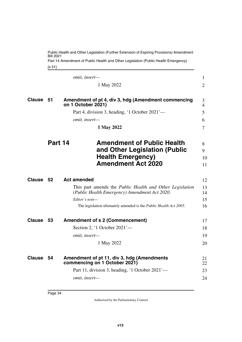Part 14 Amendment of Public Health and Other Legislation (Public Health Emergency)

<span id="page-35-3"></span><span id="page-35-1"></span><span id="page-35-0"></span>[s 51]

<span id="page-35-9"></span><span id="page-35-8"></span><span id="page-35-7"></span><span id="page-35-6"></span><span id="page-35-5"></span><span id="page-35-4"></span><span id="page-35-2"></span>

|               |         | omit, insert-                                                                                                               | $\mathbf{1}$        |
|---------------|---------|-----------------------------------------------------------------------------------------------------------------------------|---------------------|
|               |         | 1 May 2022                                                                                                                  | $\overline{2}$      |
| <b>Clause</b> | 51      | Amendment of pt 4, div 3, hdg (Amendment commencing<br>on 1 October 2021)                                                   | 3<br>$\overline{4}$ |
|               |         | Part 4, division 3, heading, '1 October 2021'-                                                                              | 5                   |
|               |         | omit, insert-                                                                                                               | 6                   |
|               |         | 1 May 2022                                                                                                                  | $\overline{7}$      |
|               | Part 14 | <b>Amendment of Public Health</b><br>and Other Legislation (Public<br><b>Health Emergency)</b><br><b>Amendment Act 2020</b> | 8<br>9<br>10<br>11  |
| <b>Clause</b> | - 52    | <b>Act amended</b>                                                                                                          | 12                  |
|               |         | This part amends the <i>Public Health and Other Legislation</i><br>(Public Health Emergency) Amendment Act 2020.            | 13<br>14            |
|               |         | Editor's note-                                                                                                              | 15                  |
|               |         | The legislation ultimately amended is the Public Health Act 2005.                                                           | 16                  |
| <b>Clause</b> | - 53    | <b>Amendment of s 2 (Commencement)</b>                                                                                      | 17                  |
|               |         | Section 2, '1 October $2021'$ —                                                                                             | 18                  |
|               |         | omit, insert-                                                                                                               | 19                  |
|               |         | 1 May 2022                                                                                                                  | 20                  |
| <b>Clause</b> | 54      | Amendment of pt 11, div 3, hdg (Amendments<br>commencing on 1 October 2021)                                                 | 21<br>22            |
|               |         | Part 11, division 3, heading, '1 October 2021'—                                                                             | 23                  |
|               |         | omit, insert-                                                                                                               | 24                  |
|               |         |                                                                                                                             |                     |